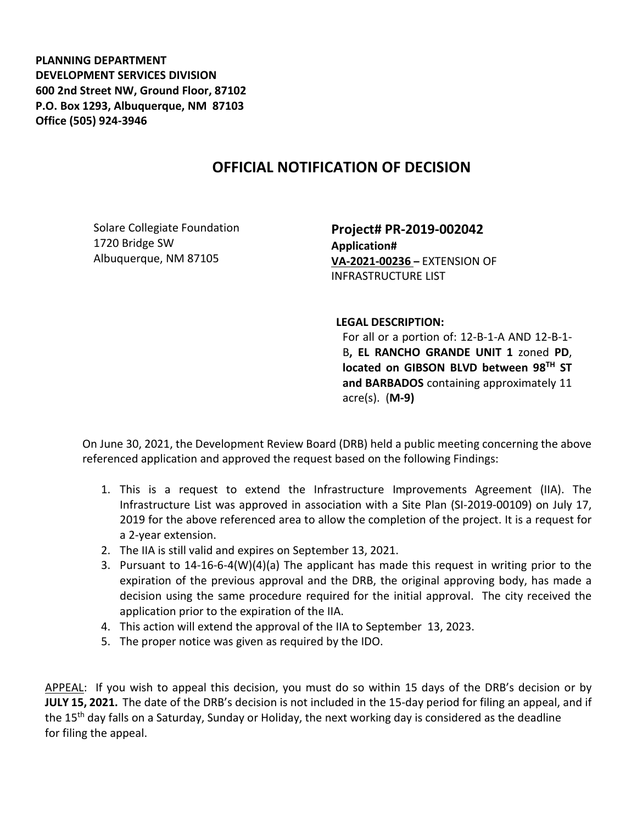**PLANNING DEPARTMENT DEVELOPMENT SERVICES DIVISION 600 2nd Street NW, Ground Floor, 87102 P.O. Box 1293, Albuquerque, NM 87103 Office (505) 924-3946** 

## **OFFICIAL NOTIFICATION OF DECISION**

Solare Collegiate Foundation 1720 Bridge SW Albuquerque, NM 87105

**Project# PR-2019-002042 Application# VA-2021-00236 –** EXTENSION OF INFRASTRUCTURE LIST

**LEGAL DESCRIPTION:**

For all or a portion of: 12-B-1-A AND 12-B-1- B**, EL RANCHO GRANDE UNIT 1** zoned **PD**, **located on GIBSON BLVD between 98TH ST and BARBADOS** containing approximately 11 acre(s). (**M-9)**

On June 30, 2021, the Development Review Board (DRB) held a public meeting concerning the above referenced application and approved the request based on the following Findings:

- 1. This is a request to extend the Infrastructure Improvements Agreement (IIA). The Infrastructure List was approved in association with a Site Plan (SI-2019-00109) on July 17, 2019 for the above referenced area to allow the completion of the project. It is a request for a 2-year extension.
- 2. The IIA is still valid and expires on September 13, 2021.
- 3. Pursuant to 14-16-6-4(W)(4)(a) The applicant has made this request in writing prior to the expiration of the previous approval and the DRB, the original approving body, has made a decision using the same procedure required for the initial approval. The city received the application prior to the expiration of the IIA.
- 4. This action will extend the approval of the IIA to September 13, 2023.
- 5. The proper notice was given as required by the IDO.

APPEAL: If you wish to appeal this decision, you must do so within 15 days of the DRB's decision or by **JULY 15, 2021.** The date of the DRB's decision is not included in the 15-day period for filing an appeal, and if the 15<sup>th</sup> day falls on a Saturday, Sunday or Holiday, the next working day is considered as the deadline for filing the appeal.